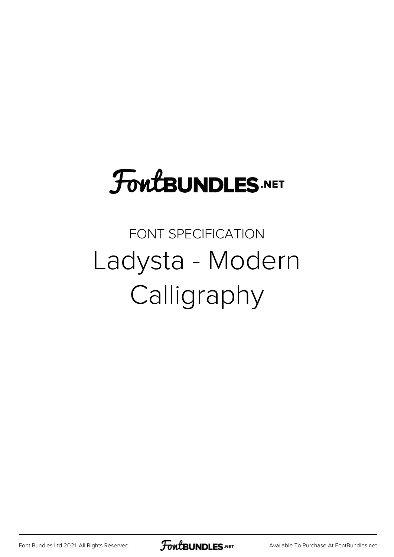## **FoutBUNDLES.NET**

FONT SPECIFICATION Ladysta - Modern Calligraphy

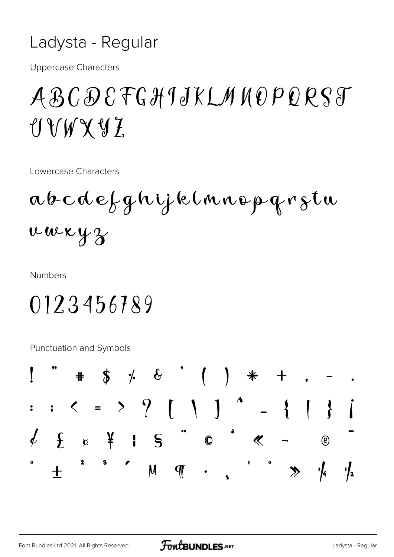## Ladysta - Regular

**Uppercase Characters** 

## ABCDEFGHIJKLMNOPQRST UVWXYZ

Lowercase Characters

abcdefghijklmnopqrstu v w x y z

**Numbers** 

0123456789

Punctuation and Symbols

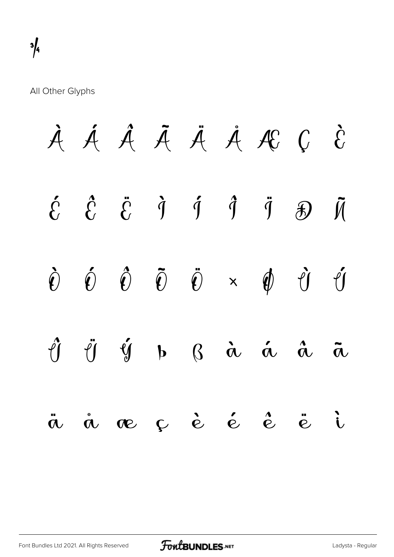All Other Glyphs

|  | À Á Â Ã Ä Å Æ Ç È                                                                                                                                                                                                                                                                                                                                                                                                                                                                          |  |  |  |
|--|--------------------------------------------------------------------------------------------------------------------------------------------------------------------------------------------------------------------------------------------------------------------------------------------------------------------------------------------------------------------------------------------------------------------------------------------------------------------------------------------|--|--|--|
|  | $\begin{array}{ccccccccc}\n\acute{c} & \hat{c} & \ddot{c} & \dot{1} & \dot{1} & \dot{1} & \ddot{1} & \mathcal{B} & \mathcal{M}\n\end{array}$                                                                                                                                                                                                                                                                                                                                               |  |  |  |
|  | $\begin{array}{ccccccccccccc} \hat{\mathbf{U}} & \hat{\mathbf{U}} & \hat{\mathbf{U}} & \hat{\mathbf{U}} & \hat{\mathbf{U}} & \hat{\mathbf{U}} & \hat{\mathbf{U}} & \hat{\mathbf{U}} & \hat{\mathbf{U}} & \hat{\mathbf{U}} & \hat{\mathbf{U}} & \hat{\mathbf{U}} & \hat{\mathbf{U}} & \hat{\mathbf{U}} & \hat{\mathbf{U}} & \hat{\mathbf{U}} & \hat{\mathbf{U}} & \hat{\mathbf{U}} & \hat{\mathbf{U}} & \hat{\mathbf{U}} & \hat{\mathbf{U}} & \hat{\mathbf{U}} & \hat{\mathbf{U}} & \hat{\$ |  |  |  |
|  | $\hat{\mathcal{C}} \quad \  \  \, \hat{\mathcal{C}} \qquad \  \  \, \hat{\mathcal{C}} \qquad \  \  \, \mathbf{b} \qquad \  \  \, \mathcal{C} \qquad \  \  \, \hat{\mathcal{C}} \qquad \  \  \, \hat{\mathcal{C}} \qquad \  \  \, \hat{\mathcal{C}} \qquad \  \  \, \hat{\mathcal{C}} \qquad \  \  \, \hat{\mathcal{C}} \qquad \  \  \, \hat{\mathcal{C}} \qquad \  \  \, \hat{\mathcal{C}} \qquad \  \  \, \hat{\mathcal{C}} \qquad \  \  \, \hat{\math$                                   |  |  |  |
|  | a å æ ç è é é ë i                                                                                                                                                                                                                                                                                                                                                                                                                                                                          |  |  |  |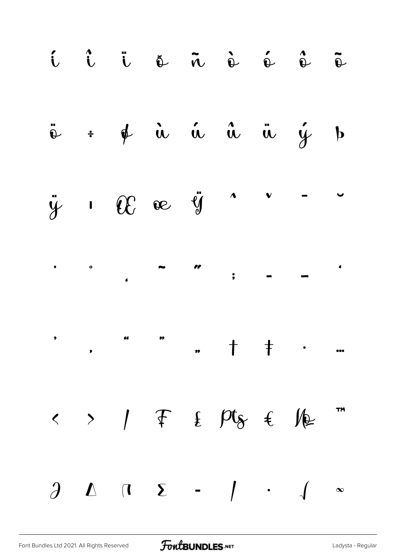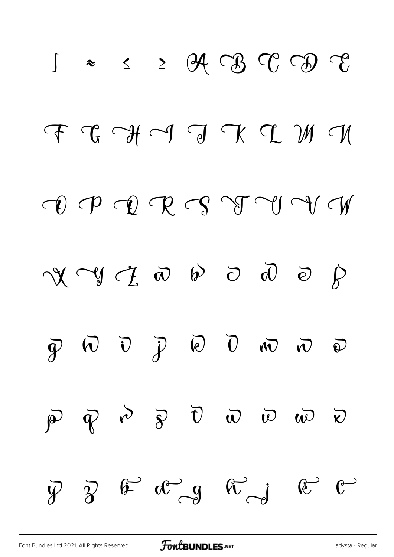